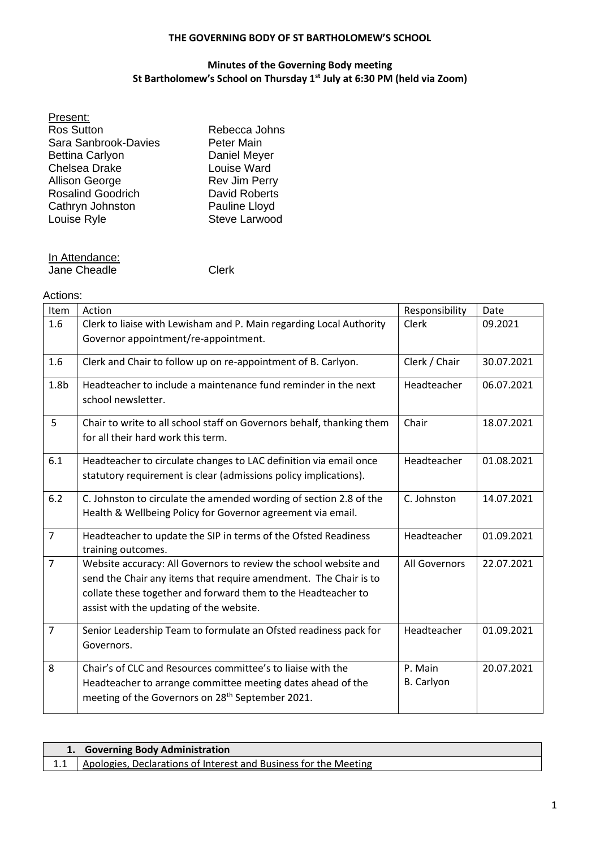## **THE GOVERNING BODY OF ST BARTHOLOMEW'S SCHOOL**

## **Minutes of the Governing Body meeting St Bartholomew's School on Thursday 1 st July at 6:30 PM (held via Zoom)**

| Present:                 |                      |
|--------------------------|----------------------|
| <b>Ros Sutton</b>        | Rebecca Johns        |
| Sara Sanbrook-Davies     | Peter Main           |
| <b>Bettina Carlyon</b>   | Daniel Meyer         |
| <b>Chelsea Drake</b>     | Louise Ward          |
| <b>Allison George</b>    | <b>Rev Jim Perry</b> |
| <b>Rosalind Goodrich</b> | <b>David Roberts</b> |
| Cathryn Johnston         | Pauline Lloyd        |
| Louise Ryle              | Steve Larwood        |
|                          |                      |

In Attendance: Jane Cheadle Clerk

## Actions:

| Item             | Action                                                                                                      | Responsibility | Date       |
|------------------|-------------------------------------------------------------------------------------------------------------|----------------|------------|
| 1.6              | Clerk to liaise with Lewisham and P. Main regarding Local Authority                                         | Clerk          | 09.2021    |
|                  | Governor appointment/re-appointment.                                                                        |                |            |
| 1.6              | Clerk and Chair to follow up on re-appointment of B. Carlyon.                                               | Clerk / Chair  | 30.07.2021 |
| 1.8 <sub>b</sub> | Headteacher to include a maintenance fund reminder in the next<br>school newsletter.                        | Headteacher    | 06.07.2021 |
| 5                | Chair to write to all school staff on Governors behalf, thanking them<br>for all their hard work this term. | Chair          | 18.07.2021 |
| 6.1              | Headteacher to circulate changes to LAC definition via email once                                           | Headteacher    | 01.08.2021 |
|                  | statutory requirement is clear (admissions policy implications).                                            |                |            |
| 6.2              | C. Johnston to circulate the amended wording of section 2.8 of the                                          | C. Johnston    | 14.07.2021 |
|                  | Health & Wellbeing Policy for Governor agreement via email.                                                 |                |            |
| $\overline{7}$   | Headteacher to update the SIP in terms of the Ofsted Readiness<br>training outcomes.                        | Headteacher    | 01.09.2021 |
| $\overline{7}$   | Website accuracy: All Governors to review the school website and                                            | All Governors  | 22.07.2021 |
|                  | send the Chair any items that require amendment. The Chair is to                                            |                |            |
|                  | collate these together and forward them to the Headteacher to                                               |                |            |
|                  | assist with the updating of the website.                                                                    |                |            |
| $\overline{7}$   | Senior Leadership Team to formulate an Ofsted readiness pack for                                            | Headteacher    | 01.09.2021 |
|                  | Governors.                                                                                                  |                |            |
| 8                | Chair's of CLC and Resources committee's to liaise with the                                                 | P. Main        | 20.07.2021 |
|                  | Headteacher to arrange committee meeting dates ahead of the                                                 | B. Carlyon     |            |
|                  | meeting of the Governors on 28 <sup>th</sup> September 2021.                                                |                |            |
|                  |                                                                                                             |                |            |

| 1. Governing Body Administration |                                                                  |
|----------------------------------|------------------------------------------------------------------|
|                                  | Apologies, Declarations of Interest and Business for the Meeting |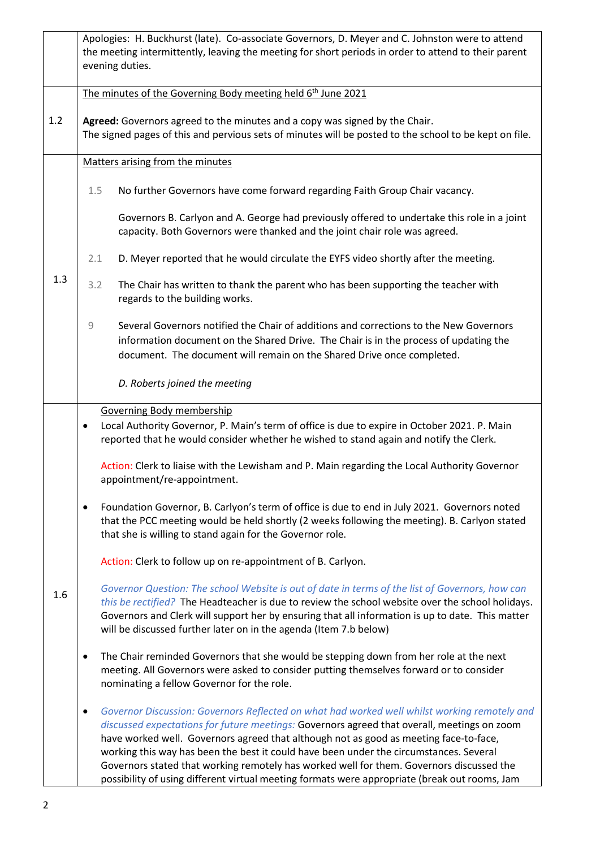|     | Apologies: H. Buckhurst (late). Co-associate Governors, D. Meyer and C. Johnston were to attend<br>the meeting intermittently, leaving the meeting for short periods in order to attend to their parent<br>evening duties.                                                                                                                                                                                                                                                                                                                                                               |
|-----|------------------------------------------------------------------------------------------------------------------------------------------------------------------------------------------------------------------------------------------------------------------------------------------------------------------------------------------------------------------------------------------------------------------------------------------------------------------------------------------------------------------------------------------------------------------------------------------|
|     | The minutes of the Governing Body meeting held 6 <sup>th</sup> June 2021                                                                                                                                                                                                                                                                                                                                                                                                                                                                                                                 |
| 1.2 | Agreed: Governors agreed to the minutes and a copy was signed by the Chair.<br>The signed pages of this and pervious sets of minutes will be posted to the school to be kept on file.                                                                                                                                                                                                                                                                                                                                                                                                    |
|     | Matters arising from the minutes                                                                                                                                                                                                                                                                                                                                                                                                                                                                                                                                                         |
|     | No further Governors have come forward regarding Faith Group Chair vacancy.<br>1.5                                                                                                                                                                                                                                                                                                                                                                                                                                                                                                       |
|     | Governors B. Carlyon and A. George had previously offered to undertake this role in a joint<br>capacity. Both Governors were thanked and the joint chair role was agreed.                                                                                                                                                                                                                                                                                                                                                                                                                |
|     | D. Meyer reported that he would circulate the EYFS video shortly after the meeting.<br>2.1                                                                                                                                                                                                                                                                                                                                                                                                                                                                                               |
| 1.3 | The Chair has written to thank the parent who has been supporting the teacher with<br>3.2<br>regards to the building works.                                                                                                                                                                                                                                                                                                                                                                                                                                                              |
|     | $\mathcal{G}% _{M_{1},M_{2}}^{\alpha,\beta}(\mathcal{G})$<br>Several Governors notified the Chair of additions and corrections to the New Governors<br>information document on the Shared Drive. The Chair is in the process of updating the<br>document. The document will remain on the Shared Drive once completed.                                                                                                                                                                                                                                                                   |
|     | D. Roberts joined the meeting                                                                                                                                                                                                                                                                                                                                                                                                                                                                                                                                                            |
| 1.6 | <b>Governing Body membership</b><br>Local Authority Governor, P. Main's term of office is due to expire in October 2021. P. Main<br>$\bullet$<br>reported that he would consider whether he wished to stand again and notify the Clerk.                                                                                                                                                                                                                                                                                                                                                  |
|     | Action: Clerk to liaise with the Lewisham and P. Main regarding the Local Authority Governor<br>appointment/re-appointment.                                                                                                                                                                                                                                                                                                                                                                                                                                                              |
|     | Foundation Governor, B. Carlyon's term of office is due to end in July 2021. Governors noted<br>$\bullet$<br>that the PCC meeting would be held shortly (2 weeks following the meeting). B. Carlyon stated<br>that she is willing to stand again for the Governor role.                                                                                                                                                                                                                                                                                                                  |
|     | Action: Clerk to follow up on re-appointment of B. Carlyon.                                                                                                                                                                                                                                                                                                                                                                                                                                                                                                                              |
|     | Governor Question: The school Website is out of date in terms of the list of Governors, how can<br>this be rectified? The Headteacher is due to review the school website over the school holidays.<br>Governors and Clerk will support her by ensuring that all information is up to date. This matter<br>will be discussed further later on in the agenda (Item 7.b below)                                                                                                                                                                                                             |
|     | The Chair reminded Governors that she would be stepping down from her role at the next<br>$\bullet$<br>meeting. All Governors were asked to consider putting themselves forward or to consider<br>nominating a fellow Governor for the role.                                                                                                                                                                                                                                                                                                                                             |
|     | Governor Discussion: Governors Reflected on what had worked well whilst working remotely and<br>$\bullet$<br>discussed expectations for future meetings: Governors agreed that overall, meetings on zoom<br>have worked well. Governors agreed that although not as good as meeting face-to-face,<br>working this way has been the best it could have been under the circumstances. Several<br>Governors stated that working remotely has worked well for them. Governors discussed the<br>possibility of using different virtual meeting formats were appropriate (break out rooms, Jam |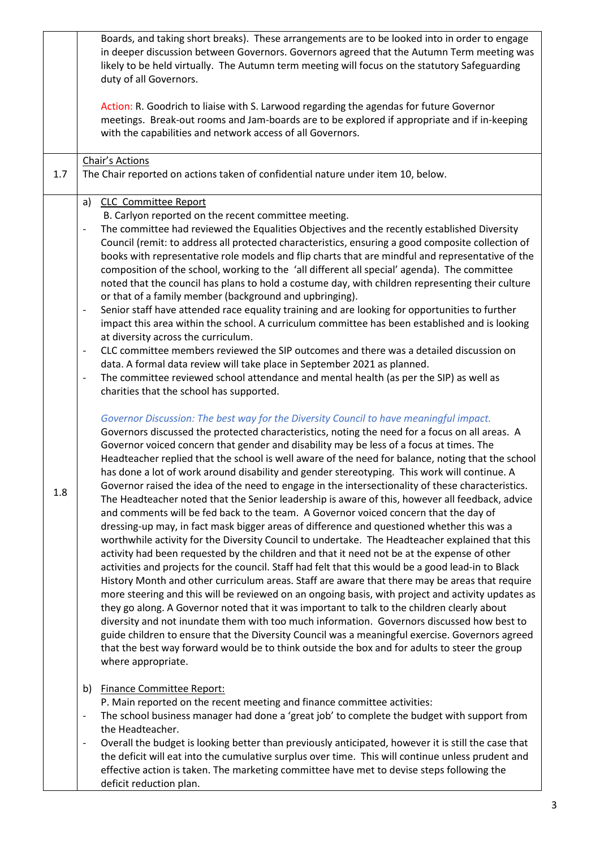|     | Boards, and taking short breaks). These arrangements are to be looked into in order to engage<br>in deeper discussion between Governors. Governors agreed that the Autumn Term meeting was<br>likely to be held virtually. The Autumn term meeting will focus on the statutory Safeguarding<br>duty of all Governors.<br>Action: R. Goodrich to liaise with S. Larwood regarding the agendas for future Governor<br>meetings. Break-out rooms and Jam-boards are to be explored if appropriate and if in-keeping                                                                                                                                                                                                                                                                                                                                                                                                                                                                                                                                                                                                                                                                                                                                                                                                                                                                                                                                                                                                                                                                                                                                                                                                          |
|-----|---------------------------------------------------------------------------------------------------------------------------------------------------------------------------------------------------------------------------------------------------------------------------------------------------------------------------------------------------------------------------------------------------------------------------------------------------------------------------------------------------------------------------------------------------------------------------------------------------------------------------------------------------------------------------------------------------------------------------------------------------------------------------------------------------------------------------------------------------------------------------------------------------------------------------------------------------------------------------------------------------------------------------------------------------------------------------------------------------------------------------------------------------------------------------------------------------------------------------------------------------------------------------------------------------------------------------------------------------------------------------------------------------------------------------------------------------------------------------------------------------------------------------------------------------------------------------------------------------------------------------------------------------------------------------------------------------------------------------|
|     | with the capabilities and network access of all Governors.                                                                                                                                                                                                                                                                                                                                                                                                                                                                                                                                                                                                                                                                                                                                                                                                                                                                                                                                                                                                                                                                                                                                                                                                                                                                                                                                                                                                                                                                                                                                                                                                                                                                |
| 1.7 | Chair's Actions<br>The Chair reported on actions taken of confidential nature under item 10, below.                                                                                                                                                                                                                                                                                                                                                                                                                                                                                                                                                                                                                                                                                                                                                                                                                                                                                                                                                                                                                                                                                                                                                                                                                                                                                                                                                                                                                                                                                                                                                                                                                       |
|     | <b>CLC Committee Report</b><br>a)<br>B. Carlyon reported on the recent committee meeting.<br>The committee had reviewed the Equalities Objectives and the recently established Diversity<br>$\overline{\phantom{a}}$<br>Council (remit: to address all protected characteristics, ensuring a good composite collection of<br>books with representative role models and flip charts that are mindful and representative of the<br>composition of the school, working to the 'all different all special' agenda). The committee<br>noted that the council has plans to hold a costume day, with children representing their culture<br>or that of a family member (background and upbringing).<br>Senior staff have attended race equality training and are looking for opportunities to further<br>$\overline{a}$<br>impact this area within the school. A curriculum committee has been established and is looking<br>at diversity across the curriculum.<br>CLC committee members reviewed the SIP outcomes and there was a detailed discussion on<br>$\overline{\phantom{a}}$<br>data. A formal data review will take place in September 2021 as planned.<br>The committee reviewed school attendance and mental health (as per the SIP) as well as<br>$\overline{\phantom{m}}$<br>charities that the school has supported.<br>Governor Discussion: The best way for the Diversity Council to have meaningful impact.<br>Governors discussed the protected characteristics, noting the need for a focus on all areas. A<br>Governor voiced concern that gender and disability may be less of a focus at times. The<br>Headteacher replied that the school is well aware of the need for balance, noting that the school |
| 1.8 | has done a lot of work around disability and gender stereotyping. This work will continue. A<br>Governor raised the idea of the need to engage in the intersectionality of these characteristics.<br>The Headteacher noted that the Senior leadership is aware of this, however all feedback, advice<br>and comments will be fed back to the team. A Governor voiced concern that the day of<br>dressing-up may, in fact mask bigger areas of difference and questioned whether this was a<br>worthwhile activity for the Diversity Council to undertake. The Headteacher explained that this<br>activity had been requested by the children and that it need not be at the expense of other<br>activities and projects for the council. Staff had felt that this would be a good lead-in to Black<br>History Month and other curriculum areas. Staff are aware that there may be areas that require<br>more steering and this will be reviewed on an ongoing basis, with project and activity updates as<br>they go along. A Governor noted that it was important to talk to the children clearly about<br>diversity and not inundate them with too much information. Governors discussed how best to<br>guide children to ensure that the Diversity Council was a meaningful exercise. Governors agreed<br>that the best way forward would be to think outside the box and for adults to steer the group<br>where appropriate.                                                                                                                                                                                                                                                                                          |
|     | <b>Finance Committee Report:</b><br>b)<br>P. Main reported on the recent meeting and finance committee activities:<br>The school business manager had done a 'great job' to complete the budget with support from<br>$\overline{\phantom{a}}$<br>the Headteacher.<br>Overall the budget is looking better than previously anticipated, however it is still the case that<br>$\overline{\phantom{a}}$<br>the deficit will eat into the cumulative surplus over time. This will continue unless prudent and<br>effective action is taken. The marketing committee have met to devise steps following the                                                                                                                                                                                                                                                                                                                                                                                                                                                                                                                                                                                                                                                                                                                                                                                                                                                                                                                                                                                                                                                                                                                    |
|     | deficit reduction plan.                                                                                                                                                                                                                                                                                                                                                                                                                                                                                                                                                                                                                                                                                                                                                                                                                                                                                                                                                                                                                                                                                                                                                                                                                                                                                                                                                                                                                                                                                                                                                                                                                                                                                                   |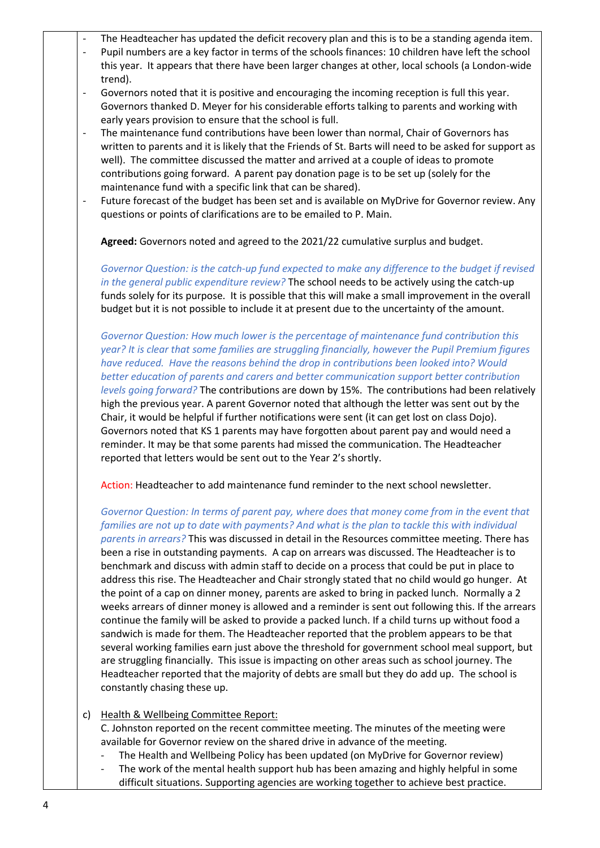|                          | The Headteacher has updated the deficit recovery plan and this is to be a standing agenda item.<br>Pupil numbers are a key factor in terms of the schools finances: 10 children have left the school                                                                                                                                                                                                                                                                                                                                                                                                                                                                                                                                                                                                                                                                                                                                                                                                                                                                                                                                                                                                                                                                                                                                   |
|--------------------------|----------------------------------------------------------------------------------------------------------------------------------------------------------------------------------------------------------------------------------------------------------------------------------------------------------------------------------------------------------------------------------------------------------------------------------------------------------------------------------------------------------------------------------------------------------------------------------------------------------------------------------------------------------------------------------------------------------------------------------------------------------------------------------------------------------------------------------------------------------------------------------------------------------------------------------------------------------------------------------------------------------------------------------------------------------------------------------------------------------------------------------------------------------------------------------------------------------------------------------------------------------------------------------------------------------------------------------------|
|                          | this year. It appears that there have been larger changes at other, local schools (a London-wide<br>trend).                                                                                                                                                                                                                                                                                                                                                                                                                                                                                                                                                                                                                                                                                                                                                                                                                                                                                                                                                                                                                                                                                                                                                                                                                            |
|                          | Governors noted that it is positive and encouraging the incoming reception is full this year.<br>Governors thanked D. Meyer for his considerable efforts talking to parents and working with                                                                                                                                                                                                                                                                                                                                                                                                                                                                                                                                                                                                                                                                                                                                                                                                                                                                                                                                                                                                                                                                                                                                           |
| $\overline{\phantom{a}}$ | early years provision to ensure that the school is full.<br>The maintenance fund contributions have been lower than normal, Chair of Governors has                                                                                                                                                                                                                                                                                                                                                                                                                                                                                                                                                                                                                                                                                                                                                                                                                                                                                                                                                                                                                                                                                                                                                                                     |
|                          | written to parents and it is likely that the Friends of St. Barts will need to be asked for support as<br>well). The committee discussed the matter and arrived at a couple of ideas to promote<br>contributions going forward. A parent pay donation page is to be set up (solely for the<br>maintenance fund with a specific link that can be shared).                                                                                                                                                                                                                                                                                                                                                                                                                                                                                                                                                                                                                                                                                                                                                                                                                                                                                                                                                                               |
|                          | Future forecast of the budget has been set and is available on MyDrive for Governor review. Any<br>questions or points of clarifications are to be emailed to P. Main.                                                                                                                                                                                                                                                                                                                                                                                                                                                                                                                                                                                                                                                                                                                                                                                                                                                                                                                                                                                                                                                                                                                                                                 |
|                          | Agreed: Governors noted and agreed to the 2021/22 cumulative surplus and budget.                                                                                                                                                                                                                                                                                                                                                                                                                                                                                                                                                                                                                                                                                                                                                                                                                                                                                                                                                                                                                                                                                                                                                                                                                                                       |
|                          | Governor Question: is the catch-up fund expected to make any difference to the budget if revised<br>in the general public expenditure review? The school needs to be actively using the catch-up<br>funds solely for its purpose. It is possible that this will make a small improvement in the overall<br>budget but it is not possible to include it at present due to the uncertainty of the amount.                                                                                                                                                                                                                                                                                                                                                                                                                                                                                                                                                                                                                                                                                                                                                                                                                                                                                                                                |
|                          | Governor Question: How much lower is the percentage of maintenance fund contribution this<br>year? It is clear that some families are struggling financially, however the Pupil Premium figures<br>have reduced. Have the reasons behind the drop in contributions been looked into? Would<br>better education of parents and carers and better communication support better contribution<br>levels going forward? The contributions are down by 15%. The contributions had been relatively<br>high the previous year. A parent Governor noted that although the letter was sent out by the<br>Chair, it would be helpful if further notifications were sent (it can get lost on class Dojo).<br>Governors noted that KS 1 parents may have forgotten about parent pay and would need a<br>reminder. It may be that some parents had missed the communication. The Headteacher<br>reported that letters would be sent out to the Year 2's shortly.                                                                                                                                                                                                                                                                                                                                                                                     |
|                          | Action: Headteacher to add maintenance fund reminder to the next school newsletter.                                                                                                                                                                                                                                                                                                                                                                                                                                                                                                                                                                                                                                                                                                                                                                                                                                                                                                                                                                                                                                                                                                                                                                                                                                                    |
|                          | Governor Question: In terms of parent pay, where does that money come from in the event that<br>families are not up to date with payments? And what is the plan to tackle this with individual<br>parents in arrears? This was discussed in detail in the Resources committee meeting. There has<br>been a rise in outstanding payments. A cap on arrears was discussed. The Headteacher is to<br>benchmark and discuss with admin staff to decide on a process that could be put in place to<br>address this rise. The Headteacher and Chair strongly stated that no child would go hunger. At<br>the point of a cap on dinner money, parents are asked to bring in packed lunch. Normally a 2<br>weeks arrears of dinner money is allowed and a reminder is sent out following this. If the arrears<br>continue the family will be asked to provide a packed lunch. If a child turns up without food a<br>sandwich is made for them. The Headteacher reported that the problem appears to be that<br>several working families earn just above the threshold for government school meal support, but<br>are struggling financially. This issue is impacting on other areas such as school journey. The<br>Headteacher reported that the majority of debts are small but they do add up. The school is<br>constantly chasing these up. |
| C)                       | Health & Wellbeing Committee Report:<br>C. Johnston reported on the recent committee meeting. The minutes of the meeting were<br>available for Governor review on the shared drive in advance of the meeting.<br>The Health and Wellbeing Policy has been updated (on MyDrive for Governor review)<br>The work of the mental health support hub has been amazing and highly helpful in some                                                                                                                                                                                                                                                                                                                                                                                                                                                                                                                                                                                                                                                                                                                                                                                                                                                                                                                                            |

difficult situations. Supporting agencies are working together to achieve best practice.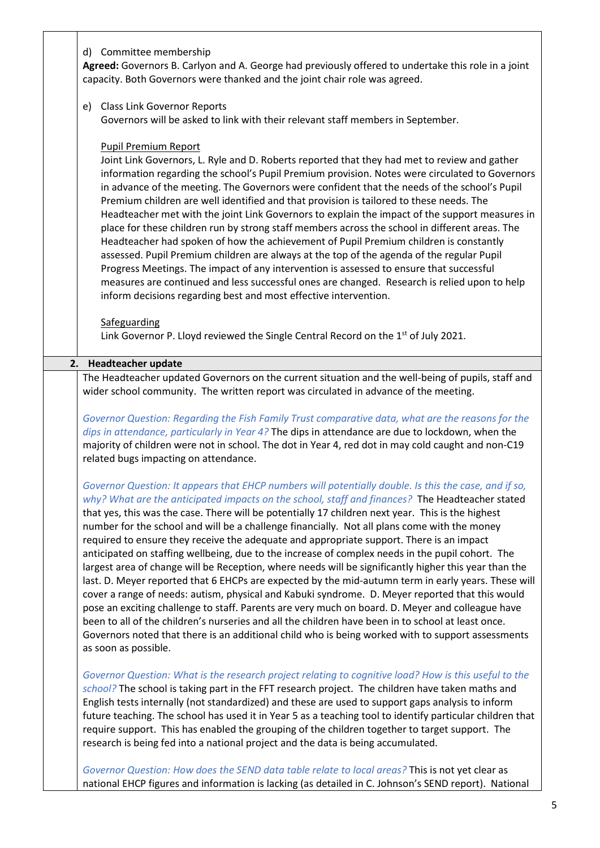| d) Committee membership<br>Agreed: Governors B. Carlyon and A. George had previously offered to undertake this role in a joint<br>capacity. Both Governors were thanked and the joint chair role was agreed.                                                                                                                                                                                                                                                                                                                                                                                                                                                                                                                                                                                                                                                                                                                                                                                                                                                                                                                                                                                                                                                            |
|-------------------------------------------------------------------------------------------------------------------------------------------------------------------------------------------------------------------------------------------------------------------------------------------------------------------------------------------------------------------------------------------------------------------------------------------------------------------------------------------------------------------------------------------------------------------------------------------------------------------------------------------------------------------------------------------------------------------------------------------------------------------------------------------------------------------------------------------------------------------------------------------------------------------------------------------------------------------------------------------------------------------------------------------------------------------------------------------------------------------------------------------------------------------------------------------------------------------------------------------------------------------------|
| e) Class Link Governor Reports<br>Governors will be asked to link with their relevant staff members in September.                                                                                                                                                                                                                                                                                                                                                                                                                                                                                                                                                                                                                                                                                                                                                                                                                                                                                                                                                                                                                                                                                                                                                       |
| <b>Pupil Premium Report</b><br>Joint Link Governors, L. Ryle and D. Roberts reported that they had met to review and gather<br>information regarding the school's Pupil Premium provision. Notes were circulated to Governors<br>in advance of the meeting. The Governors were confident that the needs of the school's Pupil<br>Premium children are well identified and that provision is tailored to these needs. The<br>Headteacher met with the joint Link Governors to explain the impact of the support measures in<br>place for these children run by strong staff members across the school in different areas. The<br>Headteacher had spoken of how the achievement of Pupil Premium children is constantly<br>assessed. Pupil Premium children are always at the top of the agenda of the regular Pupil<br>Progress Meetings. The impact of any intervention is assessed to ensure that successful<br>measures are continued and less successful ones are changed. Research is relied upon to help<br>inform decisions regarding best and most effective intervention.                                                                                                                                                                                       |
| Safeguarding<br>Link Governor P. Lloyd reviewed the Single Central Record on the $1st$ of July 2021.                                                                                                                                                                                                                                                                                                                                                                                                                                                                                                                                                                                                                                                                                                                                                                                                                                                                                                                                                                                                                                                                                                                                                                    |
| <b>Headteacher update</b><br>2.                                                                                                                                                                                                                                                                                                                                                                                                                                                                                                                                                                                                                                                                                                                                                                                                                                                                                                                                                                                                                                                                                                                                                                                                                                         |
| The Headteacher updated Governors on the current situation and the well-being of pupils, staff and                                                                                                                                                                                                                                                                                                                                                                                                                                                                                                                                                                                                                                                                                                                                                                                                                                                                                                                                                                                                                                                                                                                                                                      |
| wider school community. The written report was circulated in advance of the meeting.                                                                                                                                                                                                                                                                                                                                                                                                                                                                                                                                                                                                                                                                                                                                                                                                                                                                                                                                                                                                                                                                                                                                                                                    |
| Governor Question: Regarding the Fish Family Trust comparative data, what are the reasons for the<br>dips in attendance, particularly in Year 4? The dips in attendance are due to lockdown, when the<br>majority of children were not in school. The dot in Year 4, red dot in may cold caught and non-C19<br>related bugs impacting on attendance.                                                                                                                                                                                                                                                                                                                                                                                                                                                                                                                                                                                                                                                                                                                                                                                                                                                                                                                    |
| Governor Question: It appears that EHCP numbers will potentially double. Is this the case, and if so,<br>why? What are the anticipated impacts on the school, staff and finances? The Headteacher stated<br>that yes, this was the case. There will be potentially 17 children next year. This is the highest<br>number for the school and will be a challenge financially. Not all plans come with the money<br>required to ensure they receive the adequate and appropriate support. There is an impact<br>anticipated on staffing wellbeing, due to the increase of complex needs in the pupil cohort. The<br>largest area of change will be Reception, where needs will be significantly higher this year than the<br>last. D. Meyer reported that 6 EHCPs are expected by the mid-autumn term in early years. These will<br>cover a range of needs: autism, physical and Kabuki syndrome. D. Meyer reported that this would<br>pose an exciting challenge to staff. Parents are very much on board. D. Meyer and colleague have<br>been to all of the children's nurseries and all the children have been in to school at least once.<br>Governors noted that there is an additional child who is being worked with to support assessments<br>as soon as possible. |
| Governor Question: What is the research project relating to cognitive load? How is this useful to the<br>school? The school is taking part in the FFT research project. The children have taken maths and<br>English tests internally (not standardized) and these are used to support gaps analysis to inform<br>future teaching. The school has used it in Year 5 as a teaching tool to identify particular children that<br>require support. This has enabled the grouping of the children together to target support. The<br>research is being fed into a national project and the data is being accumulated.                                                                                                                                                                                                                                                                                                                                                                                                                                                                                                                                                                                                                                                       |
| Governor Question: How does the SEND data table relate to local areas? This is not yet clear as<br>national EHCP figures and information is lacking (as detailed in C. Johnson's SEND report). National                                                                                                                                                                                                                                                                                                                                                                                                                                                                                                                                                                                                                                                                                                                                                                                                                                                                                                                                                                                                                                                                 |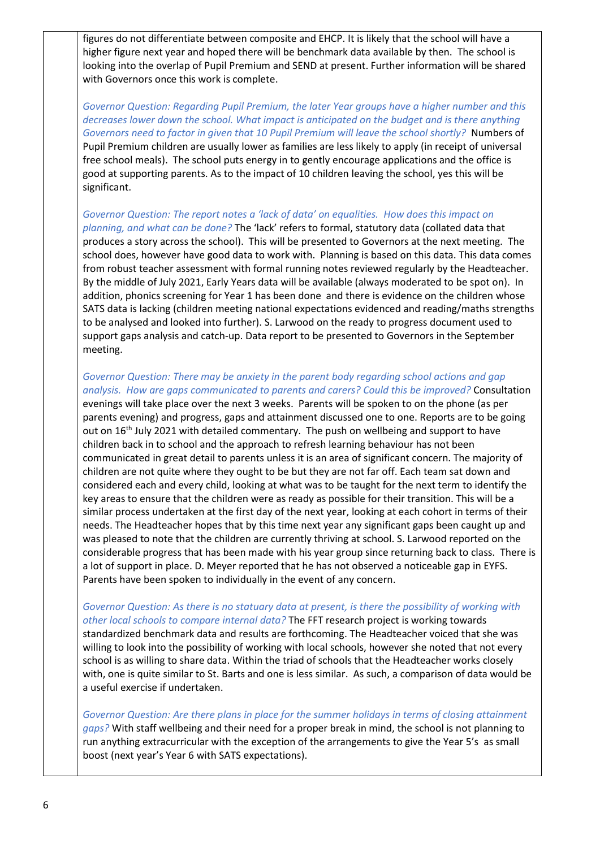figures do not differentiate between composite and EHCP. It is likely that the school will have a higher figure next year and hoped there will be benchmark data available by then. The school is looking into the overlap of Pupil Premium and SEND at present. Further information will be shared with Governors once this work is complete.

*Governor Question: Regarding Pupil Premium, the later Year groups have a higher number and this decreases lower down the school. What impact is anticipated on the budget and is there anything*  Governors need to factor in given that 10 Pupil Premium will leave the school shortly? Numbers of Pupil Premium children are usually lower as families are less likely to apply (in receipt of universal free school meals). The school puts energy in to gently encourage applications and the office is good at supporting parents. As to the impact of 10 children leaving the school, yes this will be significant.

*Governor Question: The report notes a 'lack of data' on equalities. How does this impact on planning, and what can be done?* The 'lack' refers to formal, statutory data (collated data that produces a story across the school). This will be presented to Governors at the next meeting. The school does, however have good data to work with. Planning is based on this data. This data comes from robust teacher assessment with formal running notes reviewed regularly by the Headteacher. By the middle of July 2021, Early Years data will be available (always moderated to be spot on). In addition, phonics screening for Year 1 has been done and there is evidence on the children whose SATS data is lacking (children meeting national expectations evidenced and reading/maths strengths to be analysed and looked into further). S. Larwood on the ready to progress document used to support gaps analysis and catch-up. Data report to be presented to Governors in the September meeting.

*Governor Question: There may be anxiety in the parent body regarding school actions and gap analysis. How are gaps communicated to parents and carers? Could this be improved?* Consultation evenings will take place over the next 3 weeks. Parents will be spoken to on the phone (as per parents evening) and progress, gaps and attainment discussed one to one. Reports are to be going out on 16<sup>th</sup> July 2021 with detailed commentary. The push on wellbeing and support to have children back in to school and the approach to refresh learning behaviour has not been communicated in great detail to parents unless it is an area of significant concern. The majority of children are not quite where they ought to be but they are not far off. Each team sat down and considered each and every child, looking at what was to be taught for the next term to identify the key areas to ensure that the children were as ready as possible for their transition. This will be a similar process undertaken at the first day of the next year, looking at each cohort in terms of their needs. The Headteacher hopes that by this time next year any significant gaps been caught up and was pleased to note that the children are currently thriving at school. S. Larwood reported on the considerable progress that has been made with his year group since returning back to class. There is a lot of support in place. D. Meyer reported that he has not observed a noticeable gap in EYFS. Parents have been spoken to individually in the event of any concern.

*Governor Question: As there is no statuary data at present, is there the possibility of working with other local schools to compare internal data?* The FFT research project is working towards standardized benchmark data and results are forthcoming. The Headteacher voiced that she was willing to look into the possibility of working with local schools, however she noted that not every school is as willing to share data. Within the triad of schools that the Headteacher works closely with, one is quite similar to St. Barts and one is less similar. As such, a comparison of data would be a useful exercise if undertaken.

*Governor Question: Are there plans in place for the summer holidays in terms of closing attainment gaps?* With staff wellbeing and their need for a proper break in mind, the school is not planning to run anything extracurricular with the exception of the arrangements to give the Year 5's as small boost (next year's Year 6 with SATS expectations).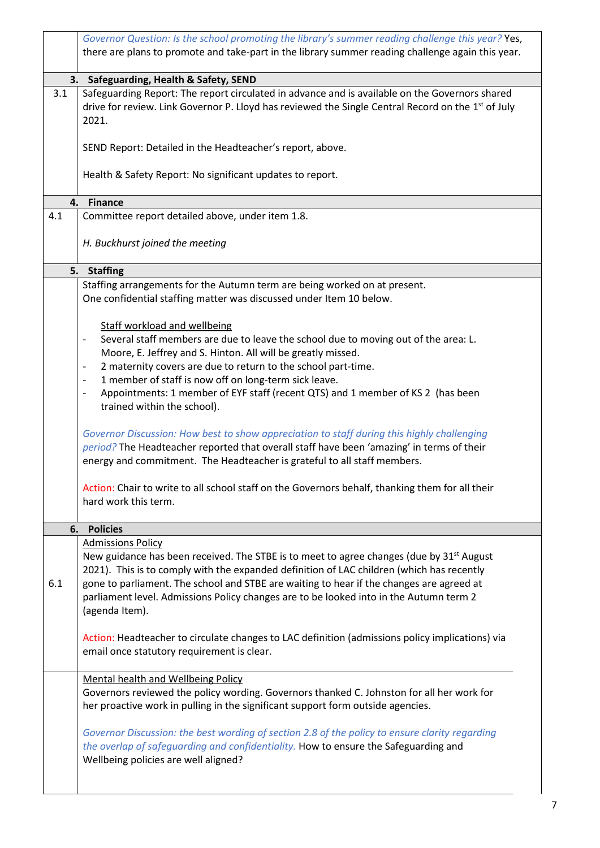|     | Governor Question: Is the school promoting the library's summer reading challenge this year? Yes,                                                                                                                                                                   |
|-----|---------------------------------------------------------------------------------------------------------------------------------------------------------------------------------------------------------------------------------------------------------------------|
|     | there are plans to promote and take-part in the library summer reading challenge again this year.                                                                                                                                                                   |
|     | 3. Safeguarding, Health & Safety, SEND                                                                                                                                                                                                                              |
| 3.1 | Safeguarding Report: The report circulated in advance and is available on the Governors shared<br>drive for review. Link Governor P. Lloyd has reviewed the Single Central Record on the 1 <sup>st</sup> of July<br>2021.                                           |
|     | SEND Report: Detailed in the Headteacher's report, above.                                                                                                                                                                                                           |
|     | Health & Safety Report: No significant updates to report.                                                                                                                                                                                                           |
| 4.  | <b>Finance</b>                                                                                                                                                                                                                                                      |
| 4.1 | Committee report detailed above, under item 1.8.                                                                                                                                                                                                                    |
|     | H. Buckhurst joined the meeting                                                                                                                                                                                                                                     |
| 5.  | <b>Staffing</b>                                                                                                                                                                                                                                                     |
|     | Staffing arrangements for the Autumn term are being worked on at present.                                                                                                                                                                                           |
|     | One confidential staffing matter was discussed under Item 10 below.                                                                                                                                                                                                 |
|     | <b>Staff workload and wellbeing</b>                                                                                                                                                                                                                                 |
|     | Several staff members are due to leave the school due to moving out of the area: L.<br>$\blacksquare$                                                                                                                                                               |
|     | Moore, E. Jeffrey and S. Hinton. All will be greatly missed.                                                                                                                                                                                                        |
|     | 2 maternity covers are due to return to the school part-time.                                                                                                                                                                                                       |
|     | 1 member of staff is now off on long-term sick leave.<br>$\overline{\phantom{a}}$                                                                                                                                                                                   |
|     | Appointments: 1 member of EYF staff (recent QTS) and 1 member of KS 2 (has been<br>$\qquad \qquad -$                                                                                                                                                                |
|     | trained within the school).                                                                                                                                                                                                                                         |
|     | Governor Discussion: How best to show appreciation to staff during this highly challenging<br>period? The Headteacher reported that overall staff have been 'amazing' in terms of their<br>energy and commitment. The Headteacher is grateful to all staff members. |
|     | Action: Chair to write to all school staff on the Governors behalf, thanking them for all their<br>hard work this term.                                                                                                                                             |
| 6.  | <b>Policies</b>                                                                                                                                                                                                                                                     |
|     | <b>Admissions Policy</b>                                                                                                                                                                                                                                            |
|     | New guidance has been received. The STBE is to meet to agree changes (due by 31 <sup>st</sup> August                                                                                                                                                                |
| 6.1 | 2021). This is to comply with the expanded definition of LAC children (which has recently<br>gone to parliament. The school and STBE are waiting to hear if the changes are agreed at                                                                               |
|     | parliament level. Admissions Policy changes are to be looked into in the Autumn term 2<br>(agenda Item).                                                                                                                                                            |
|     | Action: Headteacher to circulate changes to LAC definition (admissions policy implications) via<br>email once statutory requirement is clear.                                                                                                                       |
|     | Mental health and Wellbeing Policy                                                                                                                                                                                                                                  |
|     | Governors reviewed the policy wording. Governors thanked C. Johnston for all her work for<br>her proactive work in pulling in the significant support form outside agencies.                                                                                        |
|     | Governor Discussion: the best wording of section 2.8 of the policy to ensure clarity regarding<br>the overlap of safeguarding and confidentiality. How to ensure the Safeguarding and<br>Wellbeing policies are well aligned?                                       |
|     |                                                                                                                                                                                                                                                                     |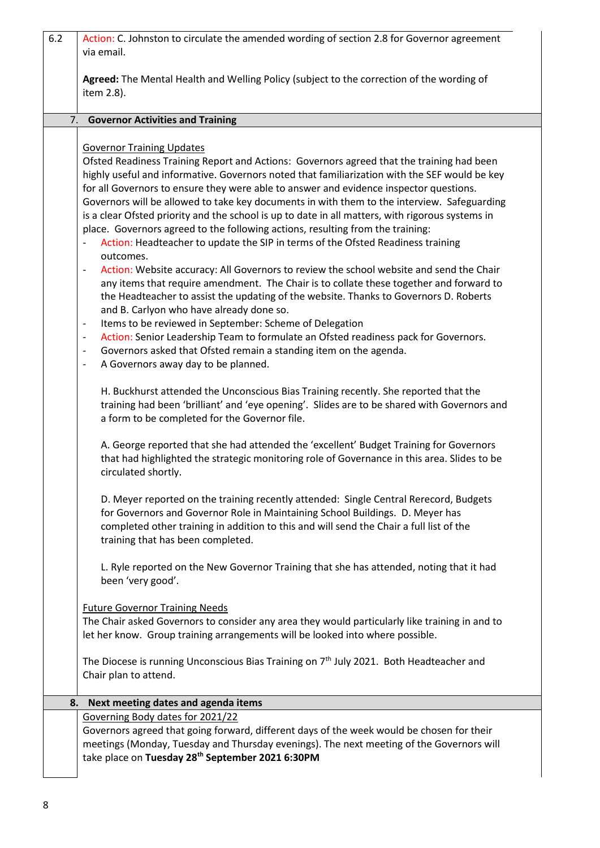| 6.2 | Action: C. Johnston to circulate the amended wording of section 2.8 for Governor agreement<br>via email.                                                                                                                                                                                                                                                                                                                                                                                                                                                                                                                                                                                                                                                                                                                                                                                                                                                                                                                                                                                                                                             |
|-----|------------------------------------------------------------------------------------------------------------------------------------------------------------------------------------------------------------------------------------------------------------------------------------------------------------------------------------------------------------------------------------------------------------------------------------------------------------------------------------------------------------------------------------------------------------------------------------------------------------------------------------------------------------------------------------------------------------------------------------------------------------------------------------------------------------------------------------------------------------------------------------------------------------------------------------------------------------------------------------------------------------------------------------------------------------------------------------------------------------------------------------------------------|
|     | Agreed: The Mental Health and Welling Policy (subject to the correction of the wording of<br>item 2.8).                                                                                                                                                                                                                                                                                                                                                                                                                                                                                                                                                                                                                                                                                                                                                                                                                                                                                                                                                                                                                                              |
| 7.  | <b>Governor Activities and Training</b>                                                                                                                                                                                                                                                                                                                                                                                                                                                                                                                                                                                                                                                                                                                                                                                                                                                                                                                                                                                                                                                                                                              |
|     |                                                                                                                                                                                                                                                                                                                                                                                                                                                                                                                                                                                                                                                                                                                                                                                                                                                                                                                                                                                                                                                                                                                                                      |
|     | <b>Governor Training Updates</b><br>Ofsted Readiness Training Report and Actions: Governors agreed that the training had been<br>highly useful and informative. Governors noted that familiarization with the SEF would be key<br>for all Governors to ensure they were able to answer and evidence inspector questions.<br>Governors will be allowed to take key documents in with them to the interview. Safeguarding<br>is a clear Ofsted priority and the school is up to date in all matters, with rigorous systems in<br>place. Governors agreed to the following actions, resulting from the training:<br>Action: Headteacher to update the SIP in terms of the Ofsted Readiness training<br>outcomes.<br>Action: Website accuracy: All Governors to review the school website and send the Chair<br>$\qquad \qquad -$<br>any items that require amendment. The Chair is to collate these together and forward to<br>the Headteacher to assist the updating of the website. Thanks to Governors D. Roberts<br>and B. Carlyon who have already done so.<br>Items to be reviewed in September: Scheme of Delegation<br>$\overline{\phantom{m}}$ |
|     | Action: Senior Leadership Team to formulate an Ofsted readiness pack for Governors.<br>$\qquad \qquad -$<br>Governors asked that Ofsted remain a standing item on the agenda.<br>$\qquad \qquad -$<br>A Governors away day to be planned.<br>$\qquad \qquad -$                                                                                                                                                                                                                                                                                                                                                                                                                                                                                                                                                                                                                                                                                                                                                                                                                                                                                       |
|     | H. Buckhurst attended the Unconscious Bias Training recently. She reported that the<br>training had been 'brilliant' and 'eye opening'. Slides are to be shared with Governors and<br>a form to be completed for the Governor file.                                                                                                                                                                                                                                                                                                                                                                                                                                                                                                                                                                                                                                                                                                                                                                                                                                                                                                                  |
|     | A. George reported that she had attended the 'excellent' Budget Training for Governors<br>that had highlighted the strategic monitoring role of Governance in this area. Slides to be<br>circulated shortly.                                                                                                                                                                                                                                                                                                                                                                                                                                                                                                                                                                                                                                                                                                                                                                                                                                                                                                                                         |
|     | D. Meyer reported on the training recently attended: Single Central Rerecord, Budgets<br>for Governors and Governor Role in Maintaining School Buildings. D. Meyer has<br>completed other training in addition to this and will send the Chair a full list of the<br>training that has been completed.                                                                                                                                                                                                                                                                                                                                                                                                                                                                                                                                                                                                                                                                                                                                                                                                                                               |
|     | L. Ryle reported on the New Governor Training that she has attended, noting that it had<br>been 'very good'.                                                                                                                                                                                                                                                                                                                                                                                                                                                                                                                                                                                                                                                                                                                                                                                                                                                                                                                                                                                                                                         |
|     | <b>Future Governor Training Needs</b><br>The Chair asked Governors to consider any area they would particularly like training in and to<br>let her know. Group training arrangements will be looked into where possible.                                                                                                                                                                                                                                                                                                                                                                                                                                                                                                                                                                                                                                                                                                                                                                                                                                                                                                                             |
|     | The Diocese is running Unconscious Bias Training on $7th$ July 2021. Both Headteacher and<br>Chair plan to attend.                                                                                                                                                                                                                                                                                                                                                                                                                                                                                                                                                                                                                                                                                                                                                                                                                                                                                                                                                                                                                                   |
| 8.  | Next meeting dates and agenda items                                                                                                                                                                                                                                                                                                                                                                                                                                                                                                                                                                                                                                                                                                                                                                                                                                                                                                                                                                                                                                                                                                                  |
|     | Governing Body dates for 2021/22<br>Governors agreed that going forward, different days of the week would be chosen for their<br>meetings (Monday, Tuesday and Thursday evenings). The next meeting of the Governors will<br>take place on Tuesday 28th September 2021 6:30PM                                                                                                                                                                                                                                                                                                                                                                                                                                                                                                                                                                                                                                                                                                                                                                                                                                                                        |